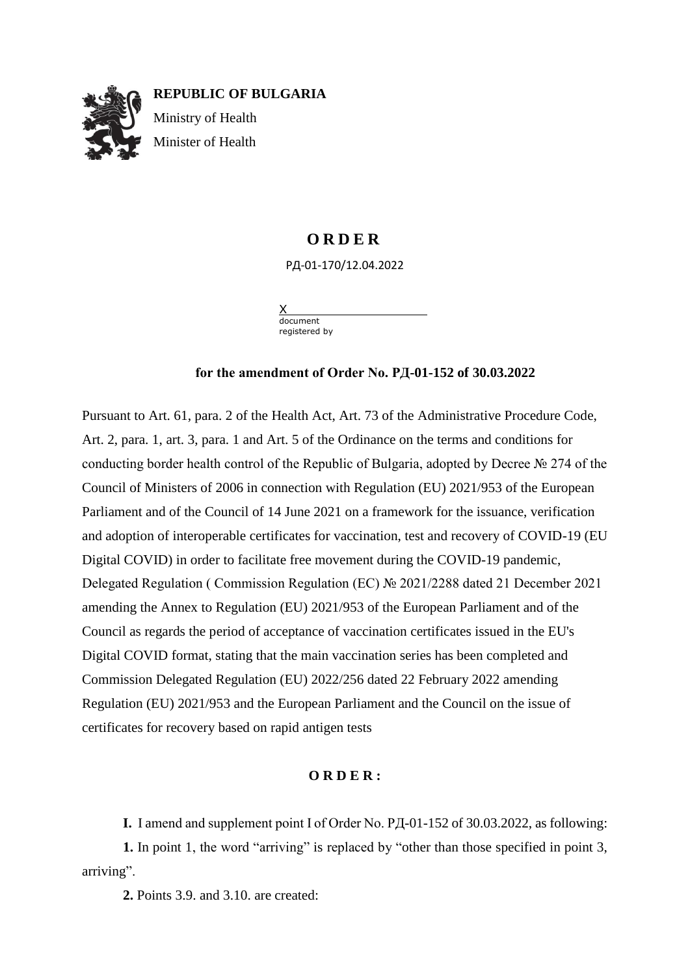

## **O R D E R**

РД-01-170/12.04.2022

X document registered by

## **for the amendment of Order No. РД-01-152 of 30.03.2022**

Pursuant to Art. 61, para. 2 of the Health Act, Art. 73 of the Administrative Procedure Code, Art. 2, para. 1, art. 3, para. 1 and Art. 5 of the Ordinance on the terms and conditions for conducting border health control of the Republic of Bulgaria, adopted by Decree № 274 of the Council of Ministers of 2006 in connection with Regulation (EU) 2021/953 of the European Parliament and of the Council of 14 June 2021 on a framework for the issuance, verification and adoption of interoperable certificates for vaccination, test and recovery of COVID-19 (EU Digital COVID) in order to facilitate free movement during the COVID-19 pandemic, Delegated Regulation ( Commission Regulation (EC) № 2021/2288 dated 21 December 2021 amending the Annex to Regulation (EU) 2021/953 of the European Parliament and of the Council as regards the period of acceptance of vaccination certificates issued in the EU's Digital COVID format, stating that the main vaccination series has been completed and Commission Delegated Regulation (EU) 2022/256 dated 22 February 2022 amending Regulation (EU) 2021/953 and the European Parliament and the Council on the issue of certificates for recovery based on rapid antigen tests

## **O R D E R :**

**I.** I amend and supplement point I of Order No. РД-01-152 of 30.03.2022, as following:

**1.** In point 1, the word "arriving" is replaced by "other than those specified in point 3, arriving".

**2.** Points 3.9. and 3.10. are created: